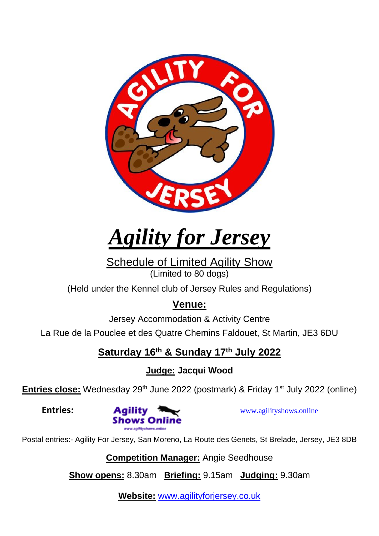

*Agility for Jersey*

Schedule of Limited Agility Show (Limited to 80 dogs)

(Held under the Kennel club of Jersey Rules and Regulations)

## **Venue:**

Jersey Accommodation & Activity Centre

La Rue de la Pouclee et des Quatre Chemins Faldouet, St Martin, JE3 6DU

## **Saturday 16th & Sunday 17th July 2022**

**Judge: Jacqui Wood**

**Entries close:** Wednesday 29<sup>th</sup> June 2022 (postmark) & Friday 1<sup>st</sup> July 2022 (online)



Postal entries:- Agility For Jersey, San Moreno, La Route des Genets, St Brelade, Jersey, JE3 8DB

**Competition Manager:** Angie Seedhouse

**Show opens:** 8.30am **Briefing:** 9.15am **Judging:** 9.30am

**Website:** [www.agilityforjersey.co.uk](http://www.agilityforjersey.co.uk/)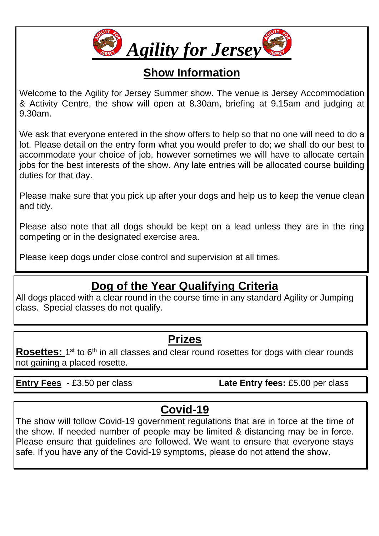

# **Show Information**

Welcome to the Agility for Jersey Summer show. The venue is Jersey Accommodation & Activity Centre, the show will open at 8.30am, briefing at 9.15am and judging at 9.30am.

We ask that everyone entered in the show offers to help so that no one will need to do a lot. Please detail on the entry form what you would prefer to do; we shall do our best to accommodate your choice of job, however sometimes we will have to allocate certain jobs for the best interests of the show. Any late entries will be allocated course building duties for that day.

Please make sure that you pick up after your dogs and help us to keep the venue clean and tidy.

Please also note that all dogs should be kept on a lead unless they are in the ring competing or in the designated exercise area.

Please keep dogs under close control and supervision at all times.

# **Dog of the Year Qualifying Criteria**

All dogs placed with a clear round in the course time in any standard Agility or Jumping class. Special classes do not qualify.

#### **Prizes**

Rosettes: 1<sup>st</sup> to 6<sup>th</sup> in all classes and clear round rosettes for dogs with clear rounds not gaining a placed rosette.

**Entry Fees -** £3.50 per class **Late Entry fees:** £5.00 per class

# **Covid-19**

The show will follow Covid-19 government regulations that are in force at the time of the show. If needed number of people may be limited & distancing may be in force. Please ensure that guidelines are followed. We want to ensure that everyone stays safe. If you have any of the Covid-19 symptoms, please do not attend the show.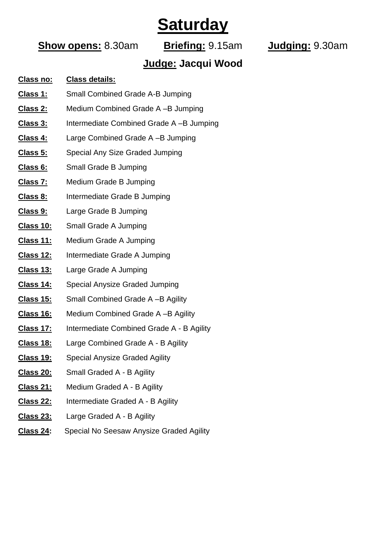# **Saturday**

#### **Show opens:** 8.30am **Briefing:** 9.15am **Judging:** 9.30am

#### **Judge: Jacqui Wood**

#### **Class no: Class details:**

- **Class 1:** Small Combined Grade A-B Jumping
- **Class 2:** Medium Combined Grade A –B Jumping
- **Class 3:** Intermediate Combined Grade A –B Jumping
- **Class 4:** Large Combined Grade A –B Jumping
- **Class 5:** Special Any Size Graded Jumping
- **Class 6:** Small Grade B Jumping
- **Class 7:** Medium Grade B Jumping
- **Class 8:** Intermediate Grade B Jumping
- **Class 9:** Large Grade B Jumping
- **Class 10:** Small Grade A Jumping
- **Class 11:** Medium Grade A Jumping
- **Class 12:** Intermediate Grade A Jumping
- **Class 13:** Large Grade A Jumping
- **Class 14:** Special Anysize Graded Jumping
- **Class 15:** Small Combined Grade A –B Agility
- **Class 16:** Medium Combined Grade A –B Agility
- **Class 17:** Intermediate Combined Grade A B Agility
- **Class 18:** Large Combined Grade A B Agility
- **Class 19:** Special Anysize Graded Agility
- **Class 20:** Small Graded A B Agility
- **Class 21:** Medium Graded A B Agility
- **Class 22:** Intermediate Graded A B Agility
- **Class 23:** Large Graded A B Agility
- **Class 24:** Special No Seesaw Anysize Graded Agility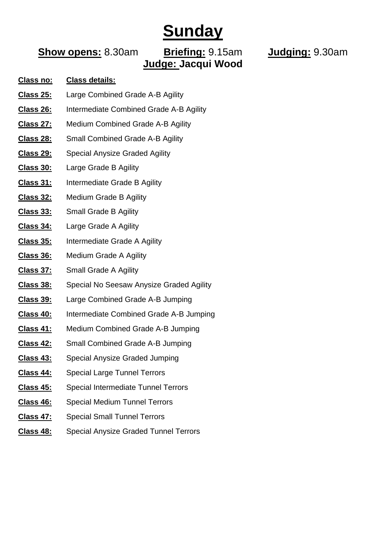# **Sunday**

#### **Show opens:** 8.30am **Briefing:** 9.15am **Judging:** 9.30am **Judge: Jacqui Wood**

#### **Class no: Class details:**

- **Class 25:** Large Combined Grade A-B Agility
- **Class 26:** Intermediate Combined Grade A-B Agility
- **Class 27:** Medium Combined Grade A-B Agility
- **Class 28:** Small Combined Grade A-B Agility
- **Class 29:** Special Anysize Graded Agility
- **Class 30:** Large Grade B Agility
- **Class 31:** Intermediate Grade B Agility
- **Class 32:** Medium Grade B Agility
- **Class 33:** Small Grade B Agility
- **Class 34:** Large Grade A Agility
- **Class 35:** Intermediate Grade A Agility
- **Class 36:** Medium Grade A Agility
- **Class 37:** Small Grade A Agility
- **Class 38:** Special No Seesaw Anysize Graded Agility
- **Class 39:** Large Combined Grade A-B Jumping
- **Class 40:** Intermediate Combined Grade A-B Jumping
- **Class 41:** Medium Combined Grade A-B Jumping
- **Class 42:** Small Combined Grade A-B Jumping
- **Class 43:** Special Anysize Graded Jumping
- **Class 44:** Special Large Tunnel Terrors
- **Class 45:** Special Intermediate Tunnel Terrors
- **Class 46:** Special Medium Tunnel Terrors
- **Class 47:** Special Small Tunnel Terrors
- **Class 48:** Special Anysize Graded Tunnel Terrors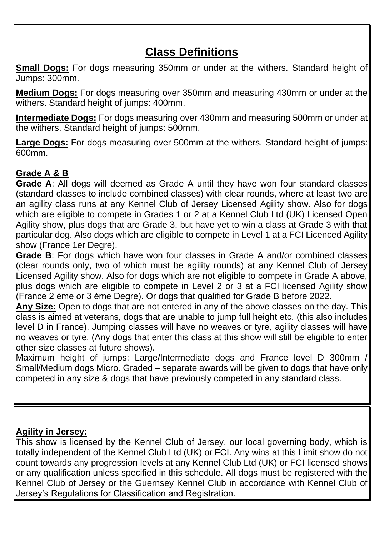# **Class Definitions**

**Small Dogs:** For dogs measuring 350mm or under at the withers. Standard height of Jumps: 300mm.

**Medium Dogs:** For dogs measuring over 350mm and measuring 430mm or under at the withers. Standard height of jumps: 400mm.

**Intermediate Dogs:** For dogs measuring over 430mm and measuring 500mm or under at the withers. Standard height of jumps: 500mm.

**Large Dogs:** For dogs measuring over 500mm at the withers. Standard height of jumps: 600mm.

#### **Grade A & B**

**Grade A**: All dogs will deemed as Grade A until they have won four standard classes (standard classes to include combined classes) with clear rounds, where at least two are an agility class runs at any Kennel Club of Jersey Licensed Agility show. Also for dogs which are eligible to compete in Grades 1 or 2 at a Kennel Club Ltd (UK) Licensed Open Agility show, plus dogs that are Grade 3, but have yet to win a class at Grade 3 with that particular dog. Also dogs which are eligible to compete in Level 1 at a FCI Licenced Agility show (France 1er Degre).

**Grade B**: For dogs which have won four classes in Grade A and/or combined classes (clear rounds only, two of which must be agility rounds) at any Kennel Club of Jersey Licensed Agility show. Also for dogs which are not eligible to compete in Grade A above, plus dogs which are eligible to compete in Level 2 or 3 at a FCI licensed Agility show (France 2 ѐme or 3 ѐme Degre). Or dogs that qualified for Grade B before 2022.

**Any Size:** Open to dogs that are not entered in any of the above classes on the day. This class is aimed at veterans, dogs that are unable to jump full height etc. (this also includes level D in France). Jumping classes will have no weaves or tyre, agility classes will have no weaves or tyre. (Any dogs that enter this class at this show will still be eligible to enter other size classes at future shows).

Maximum height of jumps: Large/Intermediate dogs and France level D 300mm / Small/Medium dogs Micro. Graded – separate awards will be given to dogs that have only competed in any size & dogs that have previously competed in any standard class.

#### **Agility in Jersey:**

This show is licensed by the Kennel Club of Jersey, our local governing body, which is totally independent of the Kennel Club Ltd (UK) or FCI. Any wins at this Limit show do not count towards any progression levels at any Kennel Club Ltd (UK) or FCI licensed shows or any qualification unless specified in this schedule. All dogs must be registered with the Kennel Club of Jersey or the Guernsey Kennel Club in accordance with Kennel Club of Jersey's Regulations for Classification and Registration.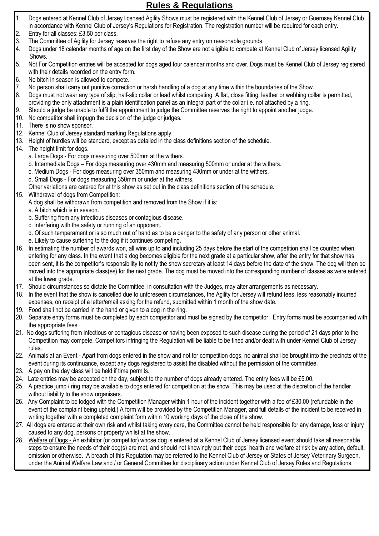#### **Rules & Regulations**

- 1. Dogs entered at Kennel Club of Jersey licensed Agility Shows must be registered with the Kennel Club of Jersey or Guernsey Kennel Club in accordance with Kennel Club of Jersey's Regulations for Registration. The registration number will be required for each entry.
- 2. Entry for all classes: £3.50 per class.
- 3. The Committee of Agility for Jersey reserves the right to refuse any entry on reasonable grounds.
- 4. Dogs under 18 calendar months of age on the first day of the Show are not eligible to compete at Kennel Club of Jersey licensed Agility Shows.
- 5. Not For Competition entries will be accepted for dogs aged four calendar months and over. Dogs must be Kennel Club of Jersey registered with their details recorded on the entry form.
- 6. No bitch in season is allowed to compete.
- 7. No person shall carry out punitive correction or harsh handling of a dog at any time within the boundaries of the Show.
- 8. Dogs must not wear any type of slip, half-slip collar or lead whilst competing. A flat, close fitting, leather or webbing collar is permitted, providing the only attachment is a plain identification panel as an integral part of the collar i.e. not attached by a ring.
- 9. Should a judge be unable to fulfil the appointment to judge the Committee reserves the right to appoint another judge.
- 10. No competitor shall impugn the decision of the judge or judges.
- 11. There is no show sponsor.
- 12. Kennel Club of Jersey standard marking Regulations apply.
- 13. Height of hurdles will be standard, except as detailed in the class definitions section of the schedule.
- 14. The height limit for dogs.
	- a. Large Dogs For dogs measuring over 500mm at the withers.
	- b. Intermediate Dogs For dogs measuring over 430mm and measuring 500mm or under at the withers.
	- c. Medium Dogs For dogs measuring over 350mm and measuring 430mm or under at the withers.
	- d. Small Dogs For dogs measuring 350mm or under at the withers.

Other variations are catered for at this show as set out in the class definitions section of the schedule.

- 15. Withdrawal of dogs from Competition:
	- A dog shall be withdrawn from competition and removed from the Show if it is:
	- a. A bitch which is in season.
	- b. Suffering from any infectious diseases or contagious disease.
	- c. Interfering with the safety or running of an opponent.
	- d. Of such temperament or is so much out of hand as to be a danger to the safety of any person or other animal.
	- e. Likely to cause suffering to the dog if it continues competing.
- 16. In estimating the number of awards won, all wins up to and including 25 days before the start of the competition shall be counted when entering for any class. In the event that a dog becomes eligible for the next grade at a particular show, after the entry for that show has been sent, it is the competitor's responsibility to notify the show secretary at least 14 days before the date of the show. The dog will then be moved into the appropriate class(es) for the next grade. The dog must be moved into the corresponding number of classes as were entered at the lower grade.
- 17. Should circumstances so dictate the Committee, in consultation with the Judges, may alter arrangements as necessary.
- 18. In the event that the show is cancelled due to unforeseen circumstances, the Agility for Jersey will refund fees, less reasonably incurred expenses, on receipt of a letter/email asking for the refund, submitted within 1 month of the show date.
- 19. Food shall not be carried in the hand or given to a dog in the ring.
- 20. Separate entry forms must be completed by each competitor and must be signed by the competitor. Entry forms must be accompanied with the appropriate fees.
- 21. No dogs suffering from infectious or contagious disease or having been exposed to such disease during the period of 21 days prior to the Competition may compete. Competitors infringing the Regulation will be liable to be fined and/or dealt with under Kennel Club of Jersey rules.
- 22. Animals at an Event Apart from dogs entered in the show and not for competition dogs, no animal shall be brought into the precincts of the event during its continuance, except any dogs registered to assist the disabled without the permission of the committee.
- 23. A pay on the day class will be held if time permits.
- 24. Late entries may be accepted on the day, subject to the number of dogs already entered. The entry fees will be £5.00.
- 25. A practice jump / ring may be available to dogs entered for competition at the show. This may be used at the discretion of the handler without liability to the show organisers.
- 26. Any Complaint to be lodged with the Competition Manager within 1 hour of the incident together with a fee of £30.00 (refundable in the event of the complaint being upheld.) A form will be provided by the Competition Manager, and full details of the incident to be received in writing together with a completed complaint form within 10 working days of the close of the show.
- 27. All dogs are entered at their own risk and whilst taking every care, the Committee cannot be held responsible for any damage, loss or injury caused to any dog, persons or property whilst at the show.
- 28. Welfare of Dogs An exhibitor (or competitor) whose dog is entered at a Kennel Club of Jersey licensed event should take all reasonable steps to ensure the needs of their dog(s) are met, and should not knowingly put their dogs' health and welfare at risk by any action, default, omission or otherwise. A breach of this Regulation may be referred to the Kennel Club of Jersey or States of Jersey Veterinary Surgeon, under the Animal Welfare Law and / or General Committee for disciplinary action under Kennel Club of Jersey Rules and Regulations.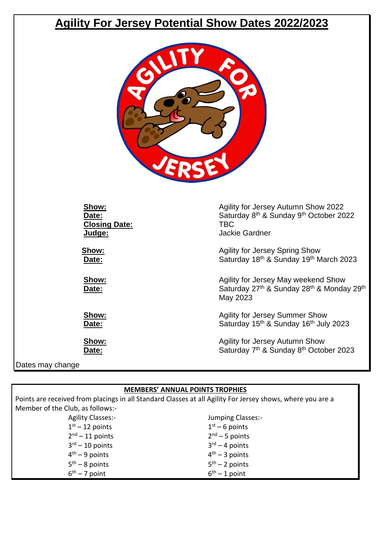## **Agility For Jersey Potential Show Dates 2022/2023**



| Show:                | Agility for Jersey Autumn Show 2022                                                                                              |
|----------------------|----------------------------------------------------------------------------------------------------------------------------------|
| Date:                | Saturday 8th & Sunday 9th October 2022                                                                                           |
| <b>Closing Date:</b> | TBC                                                                                                                              |
| Judge:               | <b>Jackie Gardner</b>                                                                                                            |
| Show:                | <b>Agility for Jersey Spring Show</b>                                                                                            |
| Date:                | Saturday 18th & Sunday 19th March 2023                                                                                           |
| Show:<br>Date:       | Agility for Jersey May weekend Show<br>Saturday 27 <sup>th</sup> & Sunday 28 <sup>th</sup> & Monday 29 <sup>th</sup><br>May 2023 |
| Show:                | <b>Agility for Jersey Summer Show</b>                                                                                            |
| Date:                | Saturday 15th & Sunday 16th July 2023                                                                                            |
| Show:                | <b>Agility for Jersey Autumn Show</b>                                                                                            |
| Date:                | Saturday 7th & Sunday 8th October 2023                                                                                           |
| Dates may change     |                                                                                                                                  |

 $6<sup>th</sup> - 1$  point

#### **MEMBERS' ANNUAL POINTS TROPHIES**

Points are received from placings in all Standard Classes at all Agility For Jersey shows, where you are a Member of the Club, as follows:- Agility Classes:-  $1<sup>st</sup> - 12$  points 2<sup>nd</sup> – 11 points 3<sup>rd</sup> – 10 points 4<sup>th</sup> – 9 points 5<sup>th</sup> – 8 points Jumping Classes:-  $1<sup>st</sup> - 6$  points 2<sup>nd</sup> – 5 points 3 rd – 4 points 4<sup>th</sup> – 3 points 5<sup>th</sup> – 2 points

6<sup>th</sup> – 7 point